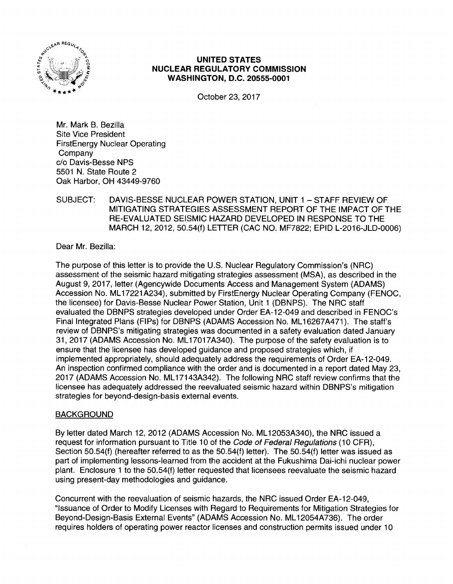

## UNITED STATES NUCLEAR REGULATORY COMMISSION WASHINGTON, D.C. 20555-0001

October 23, 2017

Mr. Mark B. Bezilla Site Vice President FirstEnergy Nuclear Operating Company c/o Davis-Besse NPS 5501 N. State Route 2 Oak Harbor, OH 43449-9760

## SUBJECT: DAVIS-BESSE NUCLEAR POWER STATION, UNIT 1 -STAFF REVIEW OF MITIGATING STRATEGIES ASSESSMENT REPORT OF THE IMPACT OF THE RE-EVALUATED SEISMIC HAZARD DEVELOPED IN RESPONSE TO THE MARCH 12, 2012, 50.54(f) LETTER (CAC NO. MF7822; EPID L-2016-JLD-0006)

Dear Mr. Bezilla:

The purpose of this letter is to provide the U.S. Nuclear Regulatory Commission's (NRC) assessment of the seismic hazard mitigating strategies assessment (MSA), as described in the August 9, 2017, letter (Agencywide Documents Access and Management System (ADAMS) Accession No. ML 17221 A234), submitted by FirstEnergy Nuclear Operating Company (FENOC, the licensee) for Davis-Besse Nuclear Power Station, Unit 1 (DBNPS). The NRC staff evaluated the DBNPS strategies developed under Order EA-12-049 and described in FENOC's Final Integrated Plans (FIPs) for DBNPS (ADAMS Accession No. ML 16267A471 ). The staff's review of DBNPS's mitigating strategies was documented in a safety evaluation dated January 31, 2017 (ADAMS Accession No. ML 17017 A340). The purpose of the safety evaluation is to ensure that the licensee has developed guidance and proposed strategies which, if implemented appropriately, should adequately address the requirements of Order EA-12-049. An inspection confirmed compliance with the order and is documented in a report dated May 23, 2017 (ADAMS Accession No. ML17143A342). The following NRC staff review confirms that the licensee has adequately addressed the reevaluated seismic hazard within DBNPS's mitigation strategies for beyond-design-basis external events.

## BACKGROUND

By letter dated March 12, 2012 (ADAMS Accession No. ML 12053A340), the NRC issued a request for information pursuant to Title 10 of the Code of Federal Regulations (10 CFR), Section 50.54(f) (hereafter referred to as the 50.54(f) letter). The 50.54(f) letter was issued as part of implementing lessons-learned from the accident at the Fukushima Dai-ichi nuclear power plant. Enclosure 1 to the 50.54(f) letter requested that licensees reevaluate the seismic hazard using present-day methodologies and guidance.

Concurrent with the reevaluation of seismic hazards, the NRC issued Order EA-12-049, "Issuance of Order to Modify Licenses with Regard to Requirements for Mitigation Strategies for Beyond-Design-Basis External Events" (ADAMS Accession No. ML 12054A736). The order requires holders of operating power reactor licenses and construction permits issued under 1 O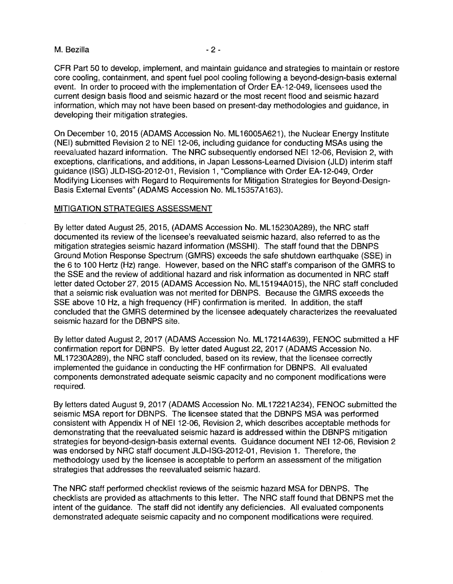#### M. Bezilla - 2 -

CFR Part 50 to develop, implement, and maintain guidance and strategies to maintain or restore core cooling, containment, and spent fuel pool cooling following a beyond-design-basis external event. In order to proceed with the implementation of Order EA-12-049, licensees used the current design basis flood and seismic hazard or the most recent flood and seismic hazard information, which may not have been based on present-day methodologies and guidance, in developing their mitigation strategies.

On December 10, 2015 (ADAMS Accession No. ML 16005A621), the Nuclear Energy Institute (NEI) submitted Revision 2 to NEI 12-06, including guidance for conducting MSAs using the reevaluated hazard information. The NRC subsequently endorsed NEI 12-06, Revision 2, with exceptions, clarifications, and additions, in Japan Lessons-Learned Division (JLD) interim staff guidance (ISG) JLD-ISG-2012-01, Revision 1, "Compliance with Order EA-12-049, Order Modifying Licenses with Regard to Requirements for Mitigation Strategies for Beyond-Design-Basis External Events" (ADAMS Accession No. ML 15357A163).

#### MITIGATION STRATEGIES ASSESSMENT

By letter dated August 25, 2015, (ADAMS Accession No. ML 15230A289), the NRC staff documented its review of the licensee's reevaluated seismic hazard, also referred to as the mitigation strategies seismic hazard information (MSSHI). The staff found that the DBNPS Ground Motion Response Spectrum (GMRS) exceeds the safe shutdown earthquake (SSE) in the 6 to 100 Hertz (Hz) range. However, based on the NRC staff's comparison of the GMRS to the SSE and the review of additional hazard and risk information as documented in NRC staff letter dated October 27, 2015 (ADAMS Accession No. ML15194A015), the NRC staff concluded that a seismic risk evaluation was not merited for DBNPS. Because the GMRS exceeds the SSE above 10 Hz, a high frequency (HF) confirmation is merited. In addition, the staff concluded that the GMRS determined by the licensee adequately characterizes the reevaluated seismic hazard for the DBNPS site.

By letter dated August 2, 2017 (ADAMS Accession No. ML 17214A639), FENOC submitted a HF confirmation report for DBNPS. By letter dated August 22, 2017 (ADAMS Accession No. ML 17230A289), the NRC staff concluded, based on its review, that the licensee correctly implemented the guidance in conducting the HF confirmation for DBNPS. All evaluated components demonstrated adequate seismic capacity and no component modifications were required.

By letters dated August 9, 2017 (ADAMS Accession No. ML 17221A234), FENOC submitted the seismic MSA report for DBNPS. The licensee stated that the DBNPS MSA was performed consistent with Appendix H of NEI 12-06, Revision 2, which describes acceptable methods for demonstrating that the reevaluated seismic hazard is addressed within the DBNPS mitigation strategies for beyond-design-basis external events. Guidance document NEI 12-06, Revision 2 was endorsed by NRC staff document JLD-ISG-2012-01, Revision 1. Therefore, the methodology used by the licensee is acceptable to perform an assessment of the mitigation strategies that addresses the reevaluated seismic hazard.

The NRC staff performed checklist reviews of the seismic hazard MSA for DBNPS. The checklists are provided as attachments to this letter. The NRC staff found that DBNPS met the intent of the guidance. The staff did not identify any deficiencies. All evaluated components demonstrated adequate seismic capacity and no component modifications were required.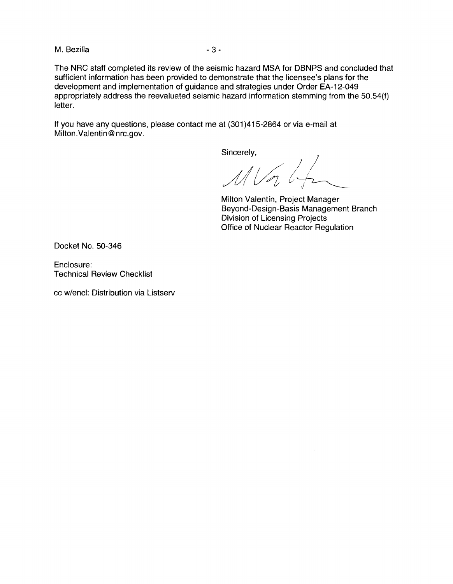M. Bezilla - 3 - 3 -

The NRC staff completed its review of the seismic hazard MSA for DBNPS and concluded that sufficient information has been provided to demonstrate that the licensee's plans for the development and implementation of guidance and strategies under Order EA-12-049 appropriately address the reevaluated seismic hazard information stemming from the 50.54(f) letter.

If you have any questions, please contact me at (301 )415-2864 or via e-mail at Milton.Valentin@nrc.gov.

Sincerely,

 $\mathcal{N}$  Vor  $\mathcal{U}_T$  $\frac{1}{2}$ 

Milton Valentfn, Project Manager Beyond-Design-Basis Management Branch Division of Licensing Projects Office of Nuclear Reactor Regulation

Docket No. 50-346

Enclosure: Technical Review Checklist

cc w/encl: Distribution via Listserv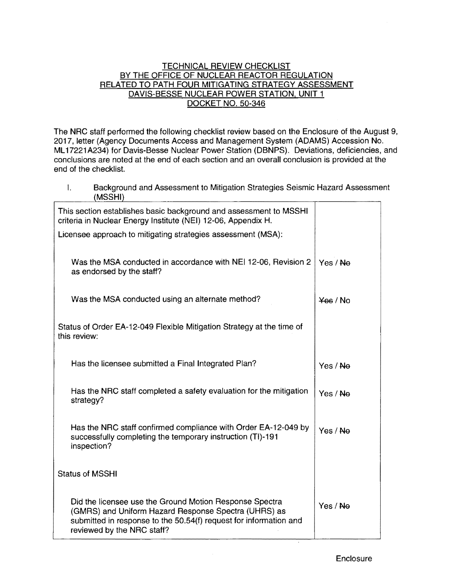#### TECHNICAL REVIEW CHECKLIST BY THE OFFICE OF NUCLEAR REACTOR REGULATION RELATED TO PATH FOUR MITIGATING STRATEGY ASSESSMENT DAVIS-BESSE NUCLEAR POWER STATION, UNIT 1 DOCKET NO. 50-346

The NRC staff performed the following checklist review based on the Enclosure of the August 9, 2017, letter (Agency Documents Access and Management System (ADAMS) Accession No. ML17221A234) for Davis-Besse Nuclear Power Station (DBNPS). Deviations, deficiencies, and conclusions are noted at the end of each section and an overall conclusion is provided at the end of the checklist.

I. Background and Assessment to Mitigation Strategies Seismic Hazard Assessment (MSSHI)

| This section establishes basic background and assessment to MSSHI<br>criteria in Nuclear Energy Institute (NEI) 12-06, Appendix H.                                                                                 |                    |
|--------------------------------------------------------------------------------------------------------------------------------------------------------------------------------------------------------------------|--------------------|
| Licensee approach to mitigating strategies assessment (MSA):                                                                                                                                                       |                    |
| Was the MSA conducted in accordance with NEI 12-06, Revision 2<br>as endorsed by the staff?                                                                                                                        | Yes / No           |
| Was the MSA conducted using an alternate method?                                                                                                                                                                   | $\frac{1}{2}$ / No |
| Status of Order EA-12-049 Flexible Mitigation Strategy at the time of<br>this review:                                                                                                                              |                    |
| Has the licensee submitted a Final Integrated Plan?                                                                                                                                                                | Yes / No           |
| Has the NRC staff completed a safety evaluation for the mitigation<br>strategy?                                                                                                                                    | Yes / Ne           |
| Has the NRC staff confirmed compliance with Order EA-12-049 by<br>successfully completing the temporary instruction (TI)-191<br>inspection?                                                                        | Yes / Ne           |
| <b>Status of MSSHI</b>                                                                                                                                                                                             |                    |
| Did the licensee use the Ground Motion Response Spectra<br>(GMRS) and Uniform Hazard Response Spectra (UHRS) as<br>submitted in response to the 50.54(f) request for information and<br>reviewed by the NRC staff? | Yes / Ne           |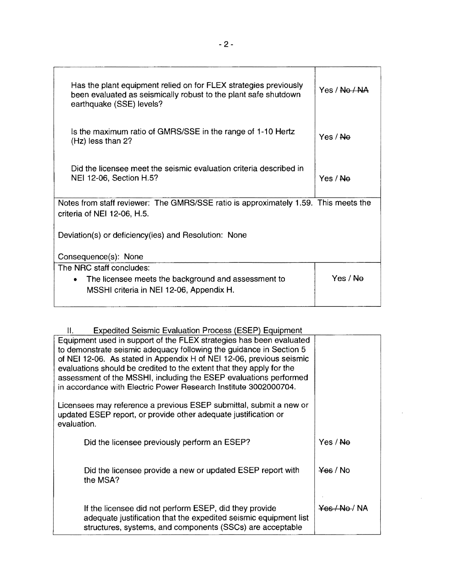| Has the plant equipment relied on for FLEX strategies previously<br>been evaluated as seismically robust to the plant safe shutdown<br>earthquake (SSE) levels? | Yes / Na / NA |
|-----------------------------------------------------------------------------------------------------------------------------------------------------------------|---------------|
| Is the maximum ratio of GMRS/SSE in the range of 1-10 Hertz<br>(Hz) less than 2?                                                                                | Yes / No      |
| Did the licensee meet the seismic evaluation criteria described in<br>NEI 12-06, Section H.5?                                                                   | Yes / No      |
| Notes from staff reviewer: The GMRS/SSE ratio is approximately 1.59. This meets the<br>criteria of NEI 12-06, H.5.                                              |               |
| Deviation(s) or deficiency(ies) and Resolution: None                                                                                                            |               |
| Consequence(s): None                                                                                                                                            |               |
| The NRC staff concludes:<br>• The licensee meets the background and assessment to<br>MSSHI criteria in NEI 12-06, Appendix H.                                   | Yes / No      |

# II. Exoedited Seismic Evaluation Process (ESEP) Eauioment

| н.<br>EXPOSITION OCIDITIIU EVAIDATUM FTOUCSS (EOLF) EQUIDITION                                                                                                                                                                                                                                                                                                                                                                      |                          |
|-------------------------------------------------------------------------------------------------------------------------------------------------------------------------------------------------------------------------------------------------------------------------------------------------------------------------------------------------------------------------------------------------------------------------------------|--------------------------|
| Equipment used in support of the FLEX strategies has been evaluated<br>to demonstrate seismic adequacy following the guidance in Section 5<br>of NEI 12-06. As stated in Appendix H of NEI 12-06, previous seismic<br>evaluations should be credited to the extent that they apply for the<br>assessment of the MSSHI, including the ESEP evaluations performed<br>in accordance with Electric Power Research Institute 3002000704. |                          |
| Licensees may reference a previous ESEP submittal, submit a new or<br>updated ESEP report, or provide other adequate justification or<br>evaluation.                                                                                                                                                                                                                                                                                |                          |
| Did the licensee previously perform an ESEP?                                                                                                                                                                                                                                                                                                                                                                                        | Yes / No                 |
| Did the licensee provide a new or updated ESEP report with<br>the MSA?                                                                                                                                                                                                                                                                                                                                                              | Yes / No                 |
| If the licensee did not perform ESEP, did they provide<br>adequate justification that the expedited seismic equipment list<br>structures, systems, and components (SSCs) are acceptable                                                                                                                                                                                                                                             | <del>Yes / No</del> / NA |

 $\mathbf{r}$ 

—<br>T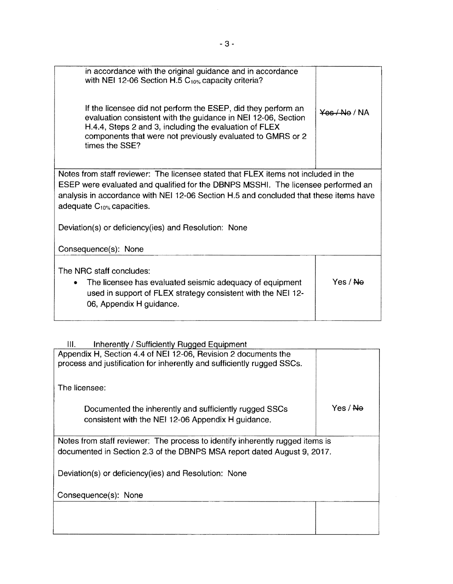| in accordance with the original guidance and in accordance<br>with NEI 12-06 Section H.5 $C_{10\%}$ capacity criteria?<br>If the licensee did not perform the ESEP, did they perform an<br>evaluation consistent with the guidance in NEI 12-06, Section<br>H.4.4, Steps 2 and 3, including the evaluation of FLEX<br>components that were not previously evaluated to GMRS or 2<br>times the SSE? | $Y9$ $(NA)$ |  |  |
|----------------------------------------------------------------------------------------------------------------------------------------------------------------------------------------------------------------------------------------------------------------------------------------------------------------------------------------------------------------------------------------------------|-------------|--|--|
| Notes from staff reviewer: The licensee stated that FLEX items not included in the<br>ESEP were evaluated and qualified for the DBNPS MSSHI. The licensee performed an<br>analysis in accordance with NEI 12-06 Section H.5 and concluded that these items have<br>adequate $C_{10\%}$ capacities.                                                                                                 |             |  |  |
| Deviation(s) or deficiency(ies) and Resolution: None<br>Consequence(s): None                                                                                                                                                                                                                                                                                                                       |             |  |  |
| The NRC staff concludes:<br>The licensee has evaluated seismic adequacy of equipment<br>used in support of FLEX strategy consistent with the NEI 12-<br>06, Appendix H guidance.                                                                                                                                                                                                                   | Yes / No    |  |  |

| Ш.<br>Inherently / Sufficiently Rugged Equipment                              |                     |
|-------------------------------------------------------------------------------|---------------------|
| Appendix H, Section 4.4 of NEI 12-06, Revision 2 documents the                |                     |
| process and justification for inherently and sufficiently rugged SSCs.        |                     |
|                                                                               |                     |
| The licensee:                                                                 |                     |
| Documented the inherently and sufficiently rugged SSCs                        | Yes / <del>No</del> |
| consistent with the NEI 12-06 Appendix H guidance.                            |                     |
|                                                                               |                     |
|                                                                               |                     |
| Notes from staff reviewer: The process to identify inherently rugged items is |                     |
| documented in Section 2.3 of the DBNPS MSA report dated August 9, 2017.       |                     |
|                                                                               |                     |
| Deviation(s) or deficiency(ies) and Resolution: None                          |                     |
|                                                                               |                     |
| Consequence(s): None                                                          |                     |
|                                                                               |                     |
|                                                                               |                     |
|                                                                               |                     |
|                                                                               |                     |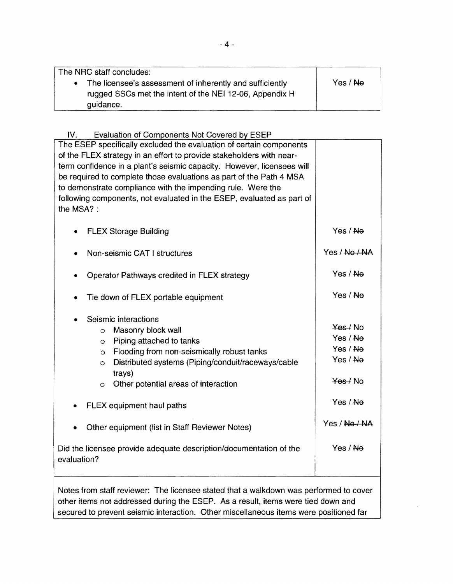| The NRC staff concludes:                                 |          |
|----------------------------------------------------------|----------|
| The licensee's assessment of inherently and sufficiently | Yes / No |
| rugged SSCs met the intent of the NEI 12-06, Appendix H  |          |
| guidance.                                                |          |

# IV. Evaluation of Components Not Covered by ESEP The ESEP specifically excluded the evaluation of certain components

| The ESEP specifically excluded the evaluation of certain components<br>of the FLEX strategy in an effort to provide stakeholders with near-<br>term confidence in a plant's seismic capacity. However, licensees will<br>be required to complete those evaluations as part of the Path 4 MSA<br>to demonstrate compliance with the impending rule. Were the<br>following components, not evaluated in the ESEP, evaluated as part of<br>the MSA?: |                                                                                               |
|---------------------------------------------------------------------------------------------------------------------------------------------------------------------------------------------------------------------------------------------------------------------------------------------------------------------------------------------------------------------------------------------------------------------------------------------------|-----------------------------------------------------------------------------------------------|
| <b>FLEX Storage Building</b>                                                                                                                                                                                                                                                                                                                                                                                                                      | Yes / Ne                                                                                      |
| Non-seismic CAT I structures                                                                                                                                                                                                                                                                                                                                                                                                                      | Yes / No / NA                                                                                 |
| Operator Pathways credited in FLEX strategy                                                                                                                                                                                                                                                                                                                                                                                                       | Yes / No                                                                                      |
| Tie down of FLEX portable equipment                                                                                                                                                                                                                                                                                                                                                                                                               | Yes / Ne                                                                                      |
| Seismic interactions<br>Masonry block wall<br>$\circ$<br>Piping attached to tanks<br>$\circ$<br>Flooding from non-seismically robust tanks<br>$\circ$<br>Distributed systems (Piping/conduit/raceways/cable<br>$\circ$<br>trays)<br>Other potential areas of interaction<br>$\circ$<br>FLEX equipment haul paths<br>Other equipment (list in Staff Reviewer Notes)                                                                                | $\frac{1}{2}$ Mo<br>Yes / Ne<br>Yes / Ne<br>Yes / No<br>$Yee$ No<br>Yes / Ne<br>Yes / No / NA |
| Did the licensee provide adequate description/documentation of the<br>evaluation?                                                                                                                                                                                                                                                                                                                                                                 | Yes / No                                                                                      |

Notes from staff reviewer: The licensee stated that a walkdown was performed to cover other items not addressed during the ESEP. As a result, items were tied down and secured to prevent seismic interaction. Other miscellaneous items were positioned far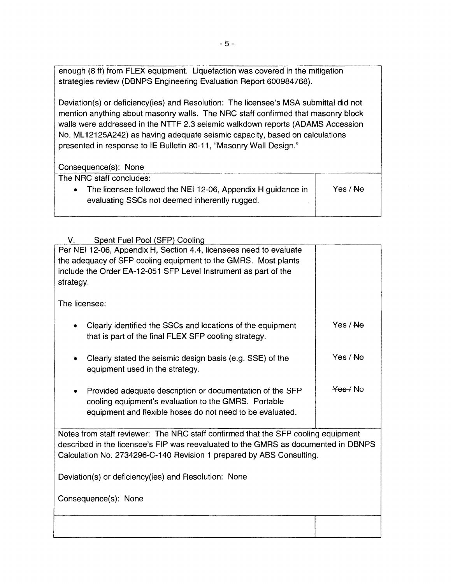enough (8 ft) from FLEX equipment. Liquefaction was covered in the mitigation strategies review (DBNPS Engineering Evaluation Report 600984768).

Deviation(s) or deficiency(ies) and Resolution: The licensee's MSA submittal did not mention anything about masonry walls. The NRC staff confirmed that masonry block walls were addressed in the NTTF 2.3 seismic walkdown reports (ADAMS Accession No. ML12125A242) as having adequate seismic capacity, based on calculations presented in response to IE Bulletin 80-11, "Masonry Wall Design."

| Consequence(s): None                                                                                         |          |
|--------------------------------------------------------------------------------------------------------------|----------|
| The NRC staff concludes:                                                                                     |          |
| The licensee followed the NEI 12-06, Appendix H guidance in<br>evaluating SSCs not deemed inherently rugged. | Yes / No |

## V. Spent Fuel Pool (SFP) Cooling

| Per NEI 12-06, Appendix H, Section 4.4, licensees need to evaluate<br>the adequacy of SFP cooling equipment to the GMRS. Most plants<br>include the Order EA-12-051 SFP Level Instrument as part of the<br>strategy. |                     |  |
|----------------------------------------------------------------------------------------------------------------------------------------------------------------------------------------------------------------------|---------------------|--|
| The licensee:                                                                                                                                                                                                        |                     |  |
| Clearly identified the SSCs and locations of the equipment<br>that is part of the final FLEX SFP cooling strategy.                                                                                                   | Yes / Ne            |  |
| Clearly stated the seismic design basis (e.g. SSE) of the<br>equipment used in the strategy.                                                                                                                         | Yes / Ne            |  |
| Provided adequate description or documentation of the SFP<br>cooling equipment's evaluation to the GMRS. Portable<br>equipment and flexible hoses do not need to be evaluated.                                       | <del>Yes</del> ∕ No |  |
| Notes from staff reviewer: The NRC staff confirmed that the SFP cooling equipment<br>described in the licensee's FIP was reevaluated to the GMRS as documented in DBNPS                                              |                     |  |
| Calculation No. 2734296-C-140 Revision 1 prepared by ABS Consulting.                                                                                                                                                 |                     |  |
| Deviation(s) or deficiency(ies) and Resolution: None                                                                                                                                                                 |                     |  |
| Consequence(s): None                                                                                                                                                                                                 |                     |  |
|                                                                                                                                                                                                                      |                     |  |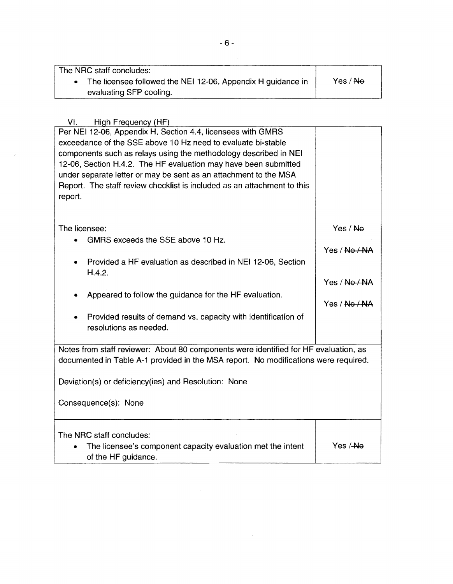The NRG staff concludes:

• The licensee followed the NEI 12-06, Appendix H guidance in evaluating SFP cooling. Yes / No

VI. High Frequency (HF)

| Per NEI 12-06, Appendix H, Section 4.4, licensees with GMRS<br>exceedance of the SSE above 10 Hz need to evaluate bi-stable<br>components such as relays using the methodology described in NEI<br>12-06, Section H.4.2. The HF evaluation may have been submitted<br>under separate letter or may be sent as an attachment to the MSA<br>Report. The staff review checklist is included as an attachment to this<br>report. |                           |
|------------------------------------------------------------------------------------------------------------------------------------------------------------------------------------------------------------------------------------------------------------------------------------------------------------------------------------------------------------------------------------------------------------------------------|---------------------------|
| The licensee:<br>GMRS exceeds the SSE above 10 Hz.                                                                                                                                                                                                                                                                                                                                                                           | Yes / Ne<br>Yes / No / NA |
| Provided a HF evaluation as described in NEI 12-06, Section<br>H.4.2.                                                                                                                                                                                                                                                                                                                                                        | Yes / No / NA             |
| Appeared to follow the guidance for the HF evaluation.<br>Provided results of demand vs. capacity with identification of<br>۰<br>resolutions as needed.                                                                                                                                                                                                                                                                      | Yes / No / NA             |
| Notes from staff reviewer: About 80 components were identified for HF evaluation, as<br>documented in Table A-1 provided in the MSA report. No modifications were required.                                                                                                                                                                                                                                                  |                           |
| Deviation(s) or deficiency(ies) and Resolution: None<br>Consequence(s): None                                                                                                                                                                                                                                                                                                                                                 |                           |
| The NRC staff concludes:<br>The licensee's component capacity evaluation met the intent<br>of the HF guidance.                                                                                                                                                                                                                                                                                                               | Yes /-Ne                  |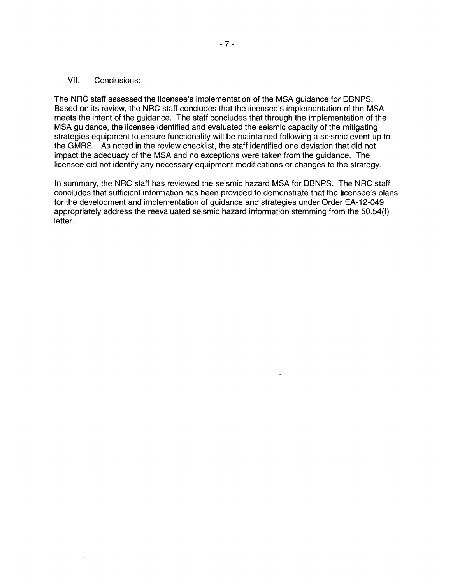#### VII. Conclusions:

The NRC staff assessed the licensee's implementation of the MSA guidance for DBNPS. Based on its review, the NRC staff concludes that the licensee's implementation of the MSA meets the intent of the guidance. The staff concludes that through the implementation of the MSA guidance, the licensee identified and evaluated the seismic capacity of the mitigating strategies equipment to ensure functionality will be maintained following a seismic event up to the GMRS. As noted in the review checklist, the staff identified one deviation that did not impact the adequacy of the MSA and no exceptions were taken from the guidance. The licensee did not identify any necessary equipment modifications or changes to the strategy.

In summary, the NRC staff has reviewed the seismic hazard MSA for DBNPS. The NRC staff concludes that sufficient information has been provided to demonstrate that the licensee's plans for the development and implementation of guidance and strategies under Order EA-12-049 appropriately address the reevaluated seismic hazard information stemming from the 50.54(f) letter.